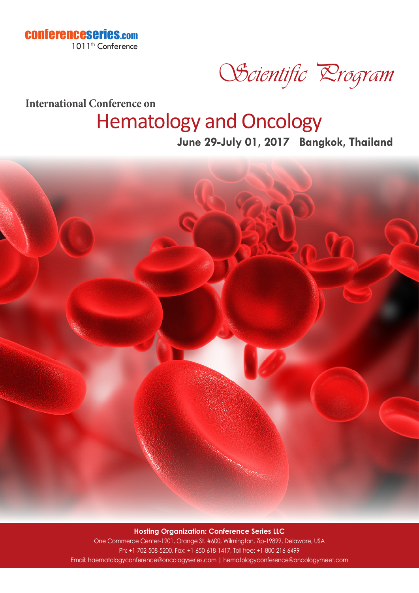

Scientific Drogram

**International Conference on**

## Hematology and Oncology

**June 29-July 01, 2017 Bangkok, Thailand**



**Hosting Organization: Conference Series LLC** One Commerce Center-1201, Orange St. #600, Wilmington, Zip-19899, Delaware, USA Ph: +1-702-508-5200, Fax: +1-650-618-1417, Toll free: +1-800-216-6499 Email: haematologyconference@oncologyseries.com | hematologyconference@oncologymeet.com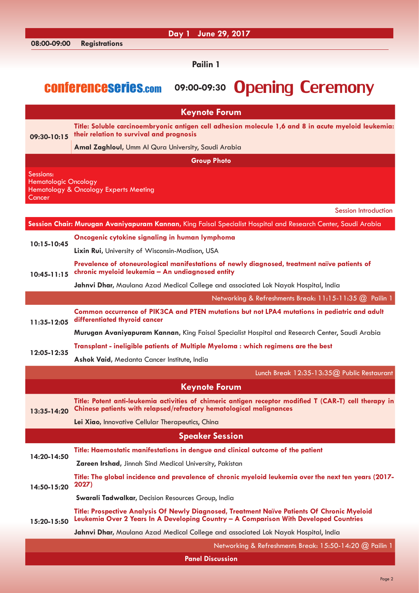|                             | Day 1 June 29, 2017                                                                                                                                                                  |
|-----------------------------|--------------------------------------------------------------------------------------------------------------------------------------------------------------------------------------|
| 08:00-09:00                 | <b>Registrations</b>                                                                                                                                                                 |
|                             | <b>Pailin 1</b>                                                                                                                                                                      |
|                             |                                                                                                                                                                                      |
|                             | <b>Opening Ceremony</b><br><b>CONFERENCESERIES.com</b><br>09:00-09:30                                                                                                                |
|                             |                                                                                                                                                                                      |
|                             | <b>Keynote Forum</b>                                                                                                                                                                 |
| 09:30-10:15                 | Title: Soluble carcinoembryonic antigen cell adhesion molecule 1,6 and 8 in acute myeloid leukemia:                                                                                  |
|                             | their relation to survival and prognosis                                                                                                                                             |
|                             | Amal Zaghloul, Umm Al Qura University, Saudi Arabia                                                                                                                                  |
|                             | <b>Group Photo</b>                                                                                                                                                                   |
| Sessions:                   |                                                                                                                                                                                      |
| <b>Hematologic Oncology</b> | Hematology & Oncology Experts Meeting                                                                                                                                                |
| Cancer                      |                                                                                                                                                                                      |
|                             | <b>Session Introduction</b>                                                                                                                                                          |
|                             | Session Chair: Murugan Avaniyapuram Kannan, King Faisal Specialist Hospital and Research Center, Saudi Arabia                                                                        |
| 10:15-10:45                 | Oncogenic cytokine signaling in human lymphoma                                                                                                                                       |
|                             | <b>Lixin Rui, University of Wisconsin-Madison, USA</b>                                                                                                                               |
| $10:45 - 11:15$             | Prevalence of otoneurological manifestations of newly diagnosed, treatment naïve patients of<br>chronic myeloid leukemia - An undiagnosed entity                                     |
|                             | Jahnvi Dhar, Maulana Azad Medical College and associated Lok Nayak Hospital, India                                                                                                   |
|                             | Networking & Refreshments Break: 11:15-11:35 @ Pailin 1                                                                                                                              |
| 11:35-12:05                 | Common occurrence of PIK3CA and PTEN mutations but not LPA4 mutations in pediatric and adult<br>differentiated thyroid cancer                                                        |
|                             | Murugan Avaniyapuram Kannan, King Faisal Specialist Hospital and Research Center, Saudi Arabia                                                                                       |
|                             | Transplant - ineligible patients of Multiple Myeloma : which regimens are the best                                                                                                   |
| 12:05-12:35                 | Ashok Vaid, Medanta Cancer Institute, India                                                                                                                                          |
|                             | Lunch Break 12:35-13:35@ Public Restaurant                                                                                                                                           |
|                             | <b>Keynote Forum</b>                                                                                                                                                                 |
| 13:35-14:20                 | Title: Potent anti-leukemia activities of chimeric antigen receptor modified T (CAR-T) cell therapy in<br>Chinese patients with relapsed/refractory hematological malignances        |
|                             | Lei Xiao, Innovative Cellular Therapeutics, China                                                                                                                                    |
|                             | <b>Speaker Session</b>                                                                                                                                                               |
|                             | Title: Haemostatic manifestations in dengue and clinical outcome of the patient                                                                                                      |
| 14:20-14:50                 | Zareen Irshad, Jinnah Sind Medical University, Pakistan                                                                                                                              |
|                             | Title: The global incidence and prevalence of chronic myeloid leukemia over the next ten years (2017-                                                                                |
| 14:50-15:20                 | 2027)                                                                                                                                                                                |
|                             | Swarali Tadwalkar, Decision Resources Group, India                                                                                                                                   |
| 15:20-15:50                 | Title: Prospective Analysis Of Newly Diagnosed, Treatment Naïve Patients Of Chronic Myeloid<br>Leukemia Over 2 Years In A Developing Country - A Comparison With Developed Countries |
|                             | Jahnvi Dhar, Maulana Azad Medical College and associated Lok Nayak Hospital, India                                                                                                   |
|                             | Networking & Refreshments Break: 15:50-14:20 @ Pailin 1                                                                                                                              |
|                             | <b>Panel Discussion</b>                                                                                                                                                              |
|                             |                                                                                                                                                                                      |